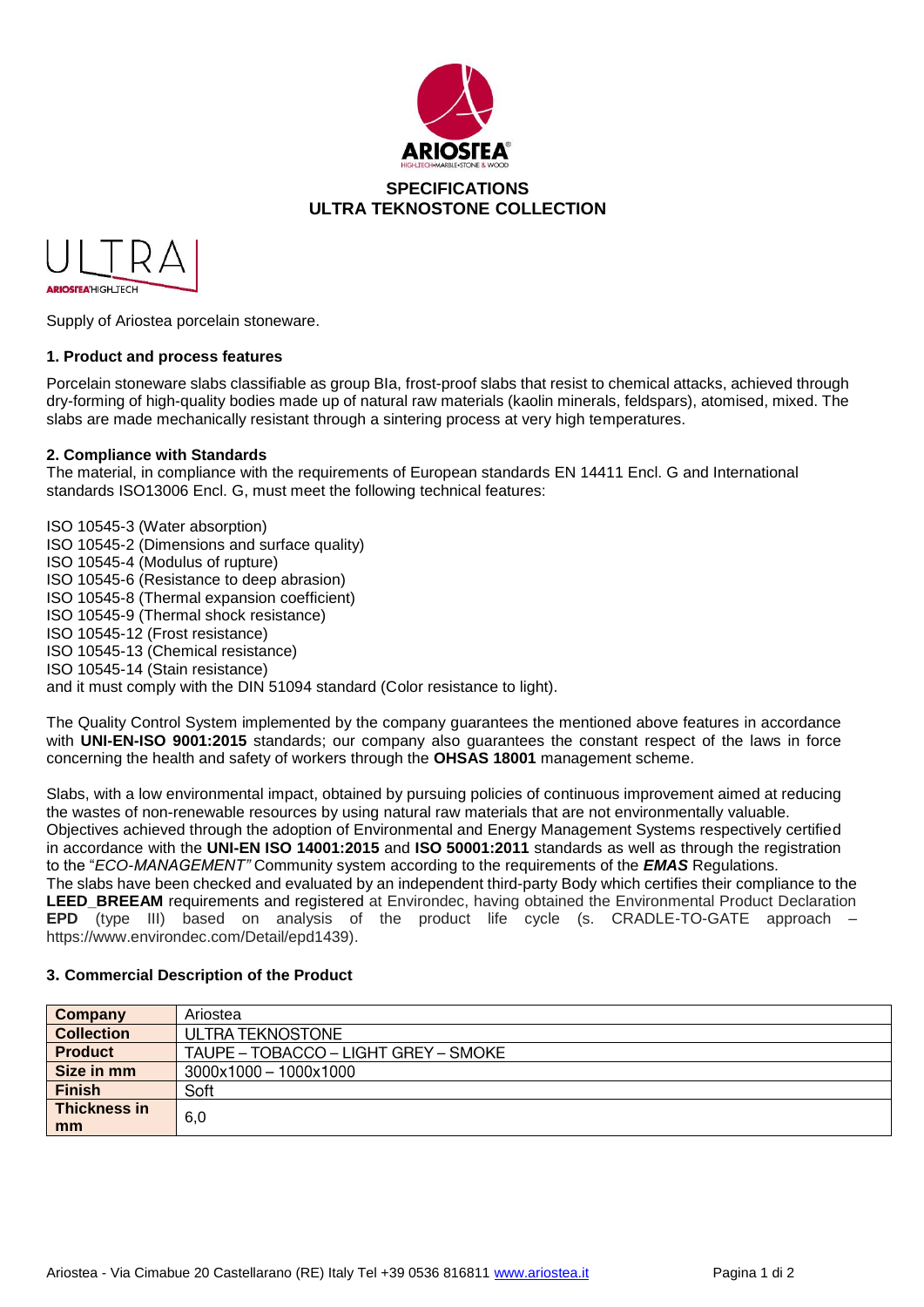



Supply of Ariostea porcelain stoneware.

### **1. Product and process features**

Porcelain stoneware slabs classifiable as group BIa, frost-proof slabs that resist to chemical attacks, achieved through dry-forming of high-quality bodies made up of natural raw materials (kaolin minerals, feldspars), atomised, mixed. The slabs are made mechanically resistant through a sintering process at very high temperatures.

### **2. Compliance with Standards**

The material, in compliance with the requirements of European standards EN 14411 Encl. G and International standards ISO13006 Encl. G, must meet the following technical features:

ISO 10545-3 (Water absorption) ISO 10545-2 (Dimensions and surface quality) ISO 10545-4 (Modulus of rupture) ISO 10545-6 (Resistance to deep abrasion) ISO 10545-8 (Thermal expansion coefficient) ISO 10545-9 (Thermal shock resistance) ISO 10545-12 (Frost resistance) ISO 10545-13 (Chemical resistance) ISO 10545-14 (Stain resistance) and it must comply with the DIN 51094 standard (Color resistance to light).

The Quality Control System implemented by the company guarantees the mentioned above features in accordance with **UNI-EN-ISO 9001:2015** standards; our company also guarantees the constant respect of the laws in force concerning the health and safety of workers through the **OHSAS 18001** management scheme.

Slabs, with a low environmental impact, obtained by pursuing policies of continuous improvement aimed at reducing the wastes of non-renewable resources by using natural raw materials that are not environmentally valuable. Objectives achieved through the adoption of Environmental and Energy Management Systems respectively certified in accordance with the **UNI-EN ISO 14001:2015** and **ISO 50001:2011** standards as well as through the registration to the "*ECO-MANAGEMENT"* Community system according to the requirements of the *EMAS* Regulations. The slabs have been checked and evaluated by an independent third-party Body which certifies their compliance to the **LEED BREEAM** requirements and registered at Environdec, having obtained the Environmental Product Declaration **EPD** (type III) based on analysis of the product life cycle (s. CRADLE-TO-GATE approach – https://www.environdec.com/Detail/epd1439).

### **3. Commercial Description of the Product**

| Company           | Ariostea                             |
|-------------------|--------------------------------------|
| <b>Collection</b> | ULTRA TEKNOSTONE                     |
| <b>Product</b>    | TAUPE – TOBACCO – LIGHT GREY – SMOKE |
| Size in mm        | 3000x1000 - 1000x1000                |
| <b>Finish</b>     | Soft                                 |
| Thickness in      | 6,0                                  |
| mm                |                                      |